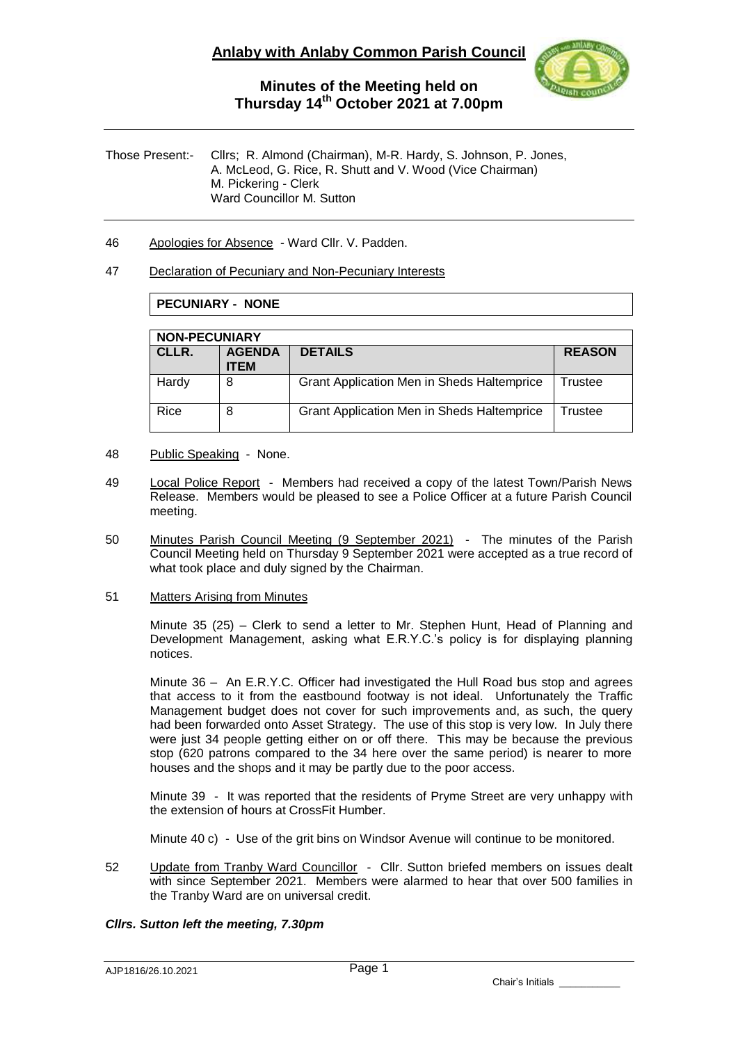

Those Present:- Cllrs; R. Almond (Chairman), M-R. Hardy, S. Johnson, P. Jones, A. McLeod, G. Rice, R. Shutt and V. Wood (Vice Chairman) M. Pickering - Clerk Ward Councillor M. Sutton

46 Apologies for Absence - Ward Cllr. V. Padden.

### 47 Declaration of Pecuniary and Non-Pecuniary Interests

### **PECUNIARY - NONE**

| <b>NON-PECUNIARY</b> |                              |                                                   |               |  |  |
|----------------------|------------------------------|---------------------------------------------------|---------------|--|--|
| CLLR.                | <b>AGENDA</b><br><b>ITEM</b> | <b>DETAILS</b>                                    | <b>REASON</b> |  |  |
| Hardy                | 8                            | <b>Grant Application Men in Sheds Haltemprice</b> | Trustee       |  |  |
| Rice                 | 8                            | <b>Grant Application Men in Sheds Haltemprice</b> | Trustee       |  |  |

- 48 Public Speaking None.
- 49 Local Police Report Members had received a copy of the latest Town/Parish News Release. Members would be pleased to see a Police Officer at a future Parish Council meeting.
- 50 Minutes Parish Council Meeting (9 September 2021) The minutes of the Parish Council Meeting held on Thursday 9 September 2021 were accepted as a true record of what took place and duly signed by the Chairman.
- 51 Matters Arising from Minutes

Minute 35 (25) – Clerk to send a letter to Mr. Stephen Hunt, Head of Planning and Development Management, asking what E.R.Y.C.'s policy is for displaying planning notices.

Minute 36 – An E.R.Y.C. Officer had investigated the Hull Road bus stop and agrees that access to it from the eastbound footway is not ideal. Unfortunately the Traffic Management budget does not cover for such improvements and, as such, the query had been forwarded onto Asset Strategy. The use of this stop is very low. In July there were just 34 people getting either on or off there. This may be because the previous stop (620 patrons compared to the 34 here over the same period) is nearer to more houses and the shops and it may be partly due to the poor access.

Minute 39 - It was reported that the residents of Pryme Street are very unhappy with the extension of hours at CrossFit Humber.

Minute 40 c) - Use of the grit bins on Windsor Avenue will continue to be monitored.

52 Update from Tranby Ward Councillor - Cllr. Sutton briefed members on issues dealt with since September 2021. Members were alarmed to hear that over 500 families in the Tranby Ward are on universal credit.

### *Cllrs. Sutton left the meeting, 7.30pm*

AJP1816/26.10.2021

Chair's Initials \_\_\_\_\_\_\_\_\_\_\_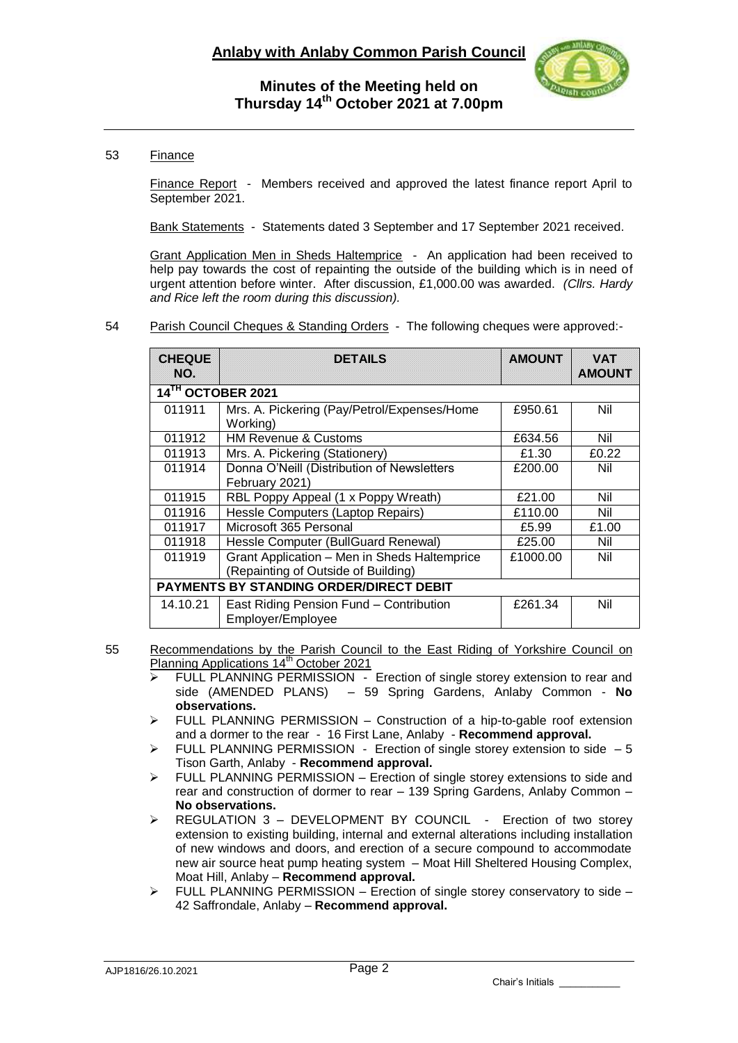

### 53 Finance

Finance Report - Members received and approved the latest finance report April to September 2021.

Bank Statements - Statements dated 3 September and 17 September 2021 received.

Grant Application Men in Sheds Haltemprice - An application had been received to help pay towards the cost of repainting the outside of the building which is in need of urgent attention before winter. After discussion, £1,000.00 was awarded. *(Cllrs. Hardy and Rice left the room during this discussion).*

#### 54 Parish Council Cheques & Standing Orders - The following cheques were approved:-

| <b>CHEQUE</b><br>NO.                    | <b>DETAILS</b>                                                                      | <b>AMOUNT</b> | <b>VAT</b><br><b>AMOUNT</b> |  |  |
|-----------------------------------------|-------------------------------------------------------------------------------------|---------------|-----------------------------|--|--|
| 14TH OCTOBER 2021                       |                                                                                     |               |                             |  |  |
| 011911                                  | Mrs. A. Pickering (Pay/Petrol/Expenses/Home<br>Working)                             | £950.61       | Nil                         |  |  |
| 011912                                  | <b>HM Revenue &amp; Customs</b>                                                     | £634.56       | Nil                         |  |  |
| 011913                                  | Mrs. A. Pickering (Stationery)                                                      | £1.30         | £0.22                       |  |  |
| 011914                                  | Donna O'Neill (Distribution of Newsletters<br>February 2021)                        | £200.00       | Nil                         |  |  |
| 011915                                  | RBL Poppy Appeal (1 x Poppy Wreath)                                                 | £21.00        | Nil                         |  |  |
| 011916                                  | Hessle Computers (Laptop Repairs)                                                   | £110.00       | Nil                         |  |  |
| 011917                                  | Microsoft 365 Personal                                                              | £5.99         | £1.00                       |  |  |
| 011918                                  | Hessle Computer (BullGuard Renewal)                                                 | £25.00        | Nil                         |  |  |
| 011919                                  | Grant Application - Men in Sheds Haltemprice<br>(Repainting of Outside of Building) | £1000.00      | Nil                         |  |  |
| PAYMENTS BY STANDING ORDER/DIRECT DEBIT |                                                                                     |               |                             |  |  |
| 14.10.21                                | East Riding Pension Fund - Contribution<br>Employer/Employee                        | £261.34       | Nil                         |  |  |

55 Recommendations by the Parish Council to the East Riding of Yorkshire Council on Planning Applications 14<sup>th</sup> October 2021

- FULL PLANNING PERMISSION Erection of single storey extension to rear and side (AMENDED PLANS) – 59 Spring Gardens, Anlaby Common - **No observations.**
- $\triangleright$  FULL PLANNING PERMISSION Construction of a hip-to-gable roof extension and a dormer to the rear - 16 First Lane, Anlaby - **Recommend approval.**
- $\triangleright$  FULL PLANNING PERMISSION Erection of single storey extension to side  $-5$ Tison Garth, Anlaby - **Recommend approval.**
- $\triangleright$  FULL PLANNING PERMISSION Erection of single storey extensions to side and rear and construction of dormer to rear – 139 Spring Gardens, Anlaby Common – **No observations.**
- $\triangleright$  REGULATION 3 DEVELOPMENT BY COUNCIL Erection of two storey extension to existing building, internal and external alterations including installation of new windows and doors, and erection of a secure compound to accommodate new air source heat pump heating system – Moat Hill Sheltered Housing Complex, Moat Hill, Anlaby – **Recommend approval.**
- $\triangleright$  FULL PLANNING PERMISSION Erection of single storey conservatory to side 42 Saffrondale, Anlaby – **Recommend approval.**

Chair's Initials \_\_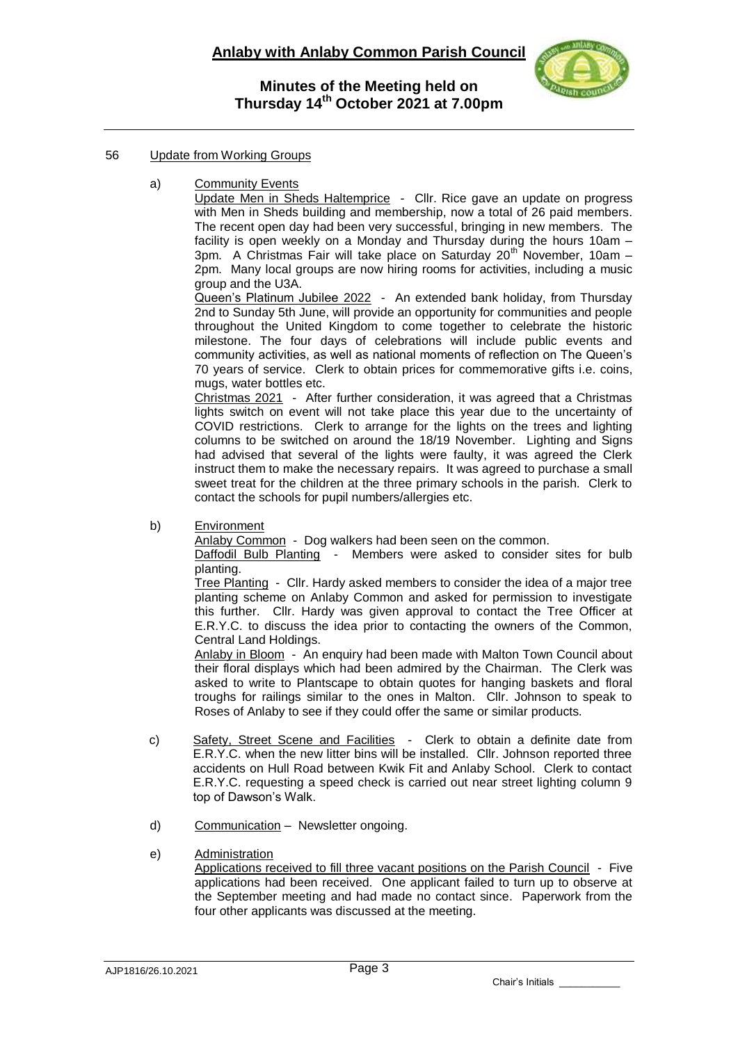

### 56 Update from Working Groups

a) Community Events

Update Men in Sheds Haltemprice - Cllr. Rice gave an update on progress with Men in Sheds building and membership, now a total of 26 paid members. The recent open day had been very successful, bringing in new members. The facility is open weekly on a Monday and Thursday during the hours 10am –  $3$ pm. A Christmas Fair will take place on Saturday  $20<sup>th</sup>$  November, 10am – 2pm. Many local groups are now hiring rooms for activities, including a music group and the U3A.

Queen's Platinum Jubilee 2022 - An extended bank holiday, from Thursday 2nd to Sunday 5th June, will provide an opportunity for communities and people throughout the United Kingdom to come together to celebrate the historic milestone. The four days of celebrations will include public events and community activities, as well as national moments of reflection on The Queen's 70 years of service. Clerk to obtain prices for commemorative gifts i.e. coins, mugs, water bottles etc.

Christmas 2021 - After further consideration, it was agreed that a Christmas lights switch on event will not take place this year due to the uncertainty of COVID restrictions. Clerk to arrange for the lights on the trees and lighting columns to be switched on around the 18/19 November. Lighting and Signs had advised that several of the lights were faulty, it was agreed the Clerk instruct them to make the necessary repairs. It was agreed to purchase a small sweet treat for the children at the three primary schools in the parish. Clerk to contact the schools for pupil numbers/allergies etc.

b) Environment

Anlaby Common - Dog walkers had been seen on the common.

Daffodil Bulb Planting - Members were asked to consider sites for bulb planting.

Tree Planting - Cllr. Hardy asked members to consider the idea of a major tree planting scheme on Anlaby Common and asked for permission to investigate this further. Cllr. Hardy was given approval to contact the Tree Officer at E.R.Y.C. to discuss the idea prior to contacting the owners of the Common, Central Land Holdings.

Anlaby in Bloom - An enquiry had been made with Malton Town Council about their floral displays which had been admired by the Chairman. The Clerk was asked to write to Plantscape to obtain quotes for hanging baskets and floral troughs for railings similar to the ones in Malton. Cllr. Johnson to speak to Roses of Anlaby to see if they could offer the same or similar products.

- c) Safety, Street Scene and Facilities Clerk to obtain a definite date from E.R.Y.C. when the new litter bins will be installed. Cllr. Johnson reported three accidents on Hull Road between Kwik Fit and Anlaby School. Clerk to contact E.R.Y.C. requesting a speed check is carried out near street lighting column 9 top of Dawson's Walk.
- d) Communication Newsletter ongoing.
- e) Administration

Applications received to fill three vacant positions on the Parish Council - Five applications had been received. One applicant failed to turn up to observe at the September meeting and had made no contact since. Paperwork from the four other applicants was discussed at the meeting.

Chair's Initials \_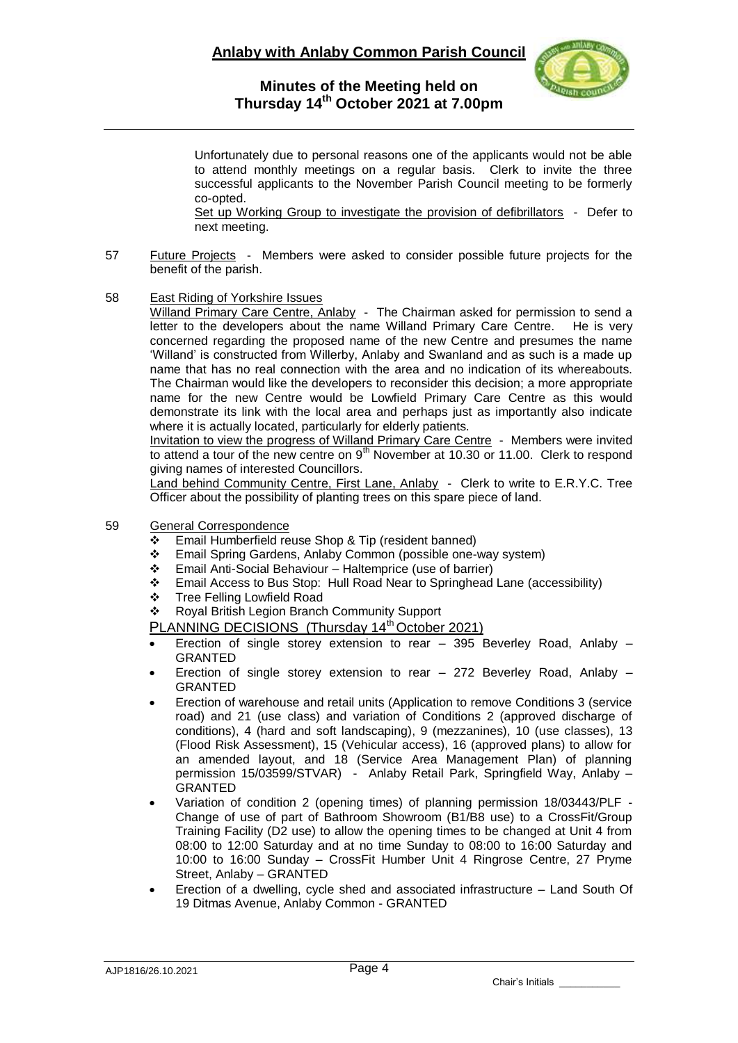

Unfortunately due to personal reasons one of the applicants would not be able to attend monthly meetings on a regular basis. Clerk to invite the three successful applicants to the November Parish Council meeting to be formerly co-opted.

Set up Working Group to investigate the provision of defibrillators - Defer to next meeting.

- 57 Future Projects Members were asked to consider possible future projects for the benefit of the parish.
- 58 East Riding of Yorkshire Issues

Willand Primary Care Centre, Anlaby - The Chairman asked for permission to send a letter to the developers about the name Willand Primary Care Centre. He is very concerned regarding the proposed name of the new Centre and presumes the name 'Willand' is constructed from Willerby, Anlaby and Swanland and as such is a made up name that has no real connection with the area and no indication of its whereabouts. The Chairman would like the developers to reconsider this decision; a more appropriate name for the new Centre would be Lowfield Primary Care Centre as this would demonstrate its link with the local area and perhaps just as importantly also indicate where it is actually located, particularly for elderly patients.

Invitation to view the progress of Willand Primary Care Centre - Members were invited to attend a tour of the new centre on  $9<sup>th</sup>$  November at 10.30 or 11.00. Clerk to respond giving names of interested Councillors.

Land behind Community Centre, First Lane, Anlaby - Clerk to write to E.R.Y.C. Tree Officer about the possibility of planting trees on this spare piece of land.

- 59 General Correspondence
	- Email Humberfield reuse Shop & Tip (resident banned)
	- Email Spring Gardens, Anlaby Common (possible one-way system)
	- Email Anti-Social Behaviour Haltemprice (use of barrier)
	- Email Access to Bus Stop: Hull Road Near to Springhead Lane (accessibility)
	- ❖ Tree Felling Lowfield Road

Royal British Legion Branch Community Support

PLANNING DECISIONS (Thursday 14<sup>th</sup> October 2021)

- Erection of single storey extension to rear 395 Beverley Road, Anlaby GRANTED
- Erection of single storey extension to rear 272 Beverley Road, Anlaby GRANTED
- Erection of warehouse and retail units (Application to remove Conditions 3 (service road) and 21 (use class) and variation of Conditions 2 (approved discharge of conditions), 4 (hard and soft landscaping), 9 (mezzanines), 10 (use classes), 13 (Flood Risk Assessment), 15 (Vehicular access), 16 (approved plans) to allow for an amended layout, and 18 (Service Area Management Plan) of planning permission 15/03599/STVAR) - Anlaby Retail Park, Springfield Way, Anlaby – GRANTED
- Variation of condition 2 (opening times) of planning permission 18/03443/PLF Change of use of part of Bathroom Showroom (B1/B8 use) to a CrossFit/Group Training Facility (D2 use) to allow the opening times to be changed at Unit 4 from 08:00 to 12:00 Saturday and at no time Sunday to 08:00 to 16:00 Saturday and 10:00 to 16:00 Sunday – CrossFit Humber Unit 4 Ringrose Centre, 27 Pryme Street, Anlaby – GRANTED
- Erection of a dwelling, cycle shed and associated infrastructure Land South Of 19 Ditmas Avenue, Anlaby Common - GRANTED